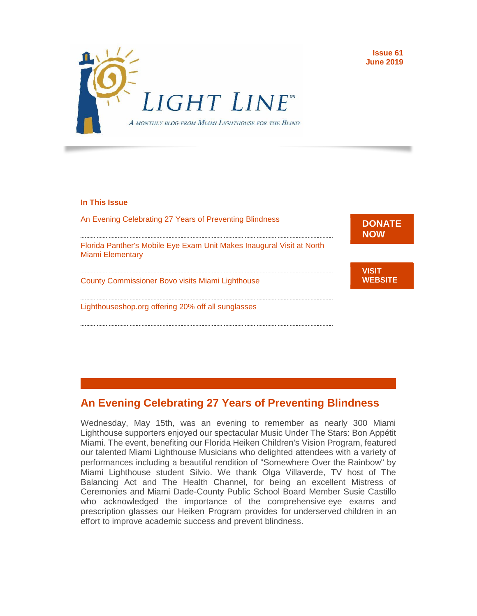

#### **In This Issue**

[An Evening Celebrating 27 Years of Preventing Blindness](https://email01.godaddy.com/webmail.php#LETTER.BLOCK44)

[Florida Panther's Mobile Eye Exam Unit Makes Inaugural Visit at North](https://email01.godaddy.com/webmail.php#LETTER.BLOCK28)  [Miami Elementary](https://email01.godaddy.com/webmail.php#LETTER.BLOCK28)

[County Commissioner Bovo visits Miami Lighthouse](https://email01.godaddy.com/webmail.php#LETTER.BLOCK38)

[Lighthouseshop.org offering 20% off all sunglasses](https://email01.godaddy.com/webmail.php#LETTER.BLOCK34)



**Issue 61 June 2019**

**[VISIT](http://r20.rs6.net/tn.jsp?f=0018qQdwhhMwbeUV902_ePRZLh8myJWOepk9mKVC6VeTZvCJACODZz20lFNUemfotlOKky6hA0iGz-vC4dJeITwNmzDQQ9FICijDUtPC3ZL9OlZSfc2TQggIzA9dgyxwpchJf4Uu2vvaomAH1ZIqxcbNnuV2fEjQc4cacRf_Vz7iav1PVY2pY-qEA==&c=jfVrERbDH3NH4Y2ntKSWpjcphz1CkhH-4YBc2-dPIF2iaYcvF_8R6Q==&ch=kI-BM1fd5dfvm351Uy9kOmu1Je21WPyJJGtKp6u5PFZ4s6W6CCbfIg==)  [WEBSITE](http://r20.rs6.net/tn.jsp?f=0018qQdwhhMwbeUV902_ePRZLh8myJWOepk9mKVC6VeTZvCJACODZz20lFNUemfotlOKky6hA0iGz-vC4dJeITwNmzDQQ9FICijDUtPC3ZL9OlZSfc2TQggIzA9dgyxwpchJf4Uu2vvaomAH1ZIqxcbNnuV2fEjQc4cacRf_Vz7iav1PVY2pY-qEA==&c=jfVrERbDH3NH4Y2ntKSWpjcphz1CkhH-4YBc2-dPIF2iaYcvF_8R6Q==&ch=kI-BM1fd5dfvm351Uy9kOmu1Je21WPyJJGtKp6u5PFZ4s6W6CCbfIg==)**

#### **An Evening Celebrating 27 Years of Preventing Blindness**

Wednesday, May 15th, was an evening to remember as nearly 300 Miami Lighthouse supporters enjoyed our spectacular Music Under The Stars: Bon Appétit Miami. The event, benefiting our Florida Heiken Children's Vision Program, featured our talented Miami Lighthouse Musicians who delighted attendees with a variety of performances including a beautiful rendition of "Somewhere Over the Rainbow" by Miami Lighthouse student Silvio. We thank Olga Villaverde, TV host of The Balancing Act and The Health Channel, for being an excellent Mistress of Ceremonies and Miami Dade-County Public School Board Member Susie Castillo who acknowledged the importance of the comprehensive eye exams and prescription glasses our Heiken Program provides for underserved children in an effort to improve academic success and prevent blindness.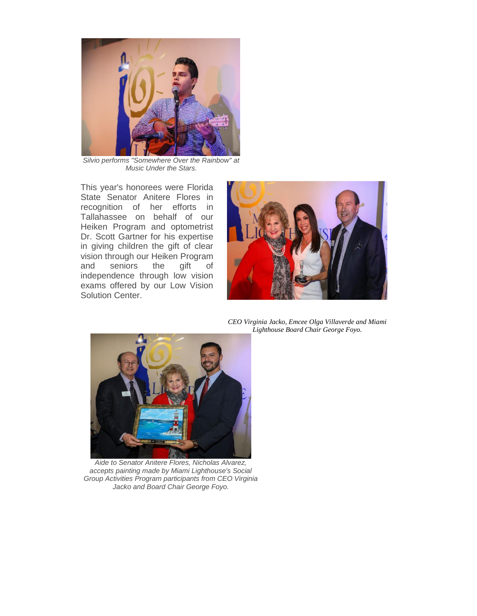

*Silvio performs "Somewhere Over the Rainbow" at Music Under the Stars.*

This year's honorees were Florida State Senator Anitere Flores in recognition of her efforts in Tallahassee on behalf of our Heiken Program and optometrist Dr. Scott Gartner for his expertise in giving children the gift of clear vision through our Heiken Program and seniors the gift of independence through low vision exams offered by our Low Vision Solution Center.



*CEO Virginia Jacko, Emcee Olga Villaverde and Miami Lighthouse Board Chair George Foyo.*



*Aide to Senator Anitere Flores, Nicholas Alvarez, accepts painting made by Miami Lighthouse's Social Group Activities Program participants from CEO Virginia Jacko and Board Chair George Foyo.*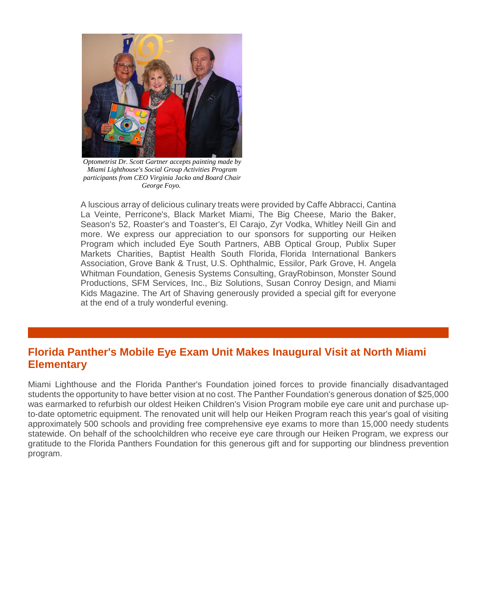

*Optometrist Dr. Scott Gartner accepts painting made by Miami Lighthouse's Social Group Activities Program participants from CEO Virginia Jacko and Board Chair George Foyo.*

A luscious array of delicious culinary treats were provided by Caffe Abbracci, Cantina La Veinte, Perricone's, Black Market Miami, The Big Cheese, Mario the Baker, Season's 52, Roaster's and Toaster's, El Carajo, Zyr Vodka, Whitley Neill Gin and more. We express our appreciation to our sponsors for supporting our Heiken Program which included Eye South Partners, ABB Optical Group, Publix Super Markets Charities, Baptist Health South Florida, Florida International Bankers Association, Grove Bank & Trust, U.S. Ophthalmic, Essilor, Park Grove, H. Angela Whitman Foundation, Genesis Systems Consulting, GrayRobinson, Monster Sound Productions, SFM Services, Inc., Biz Solutions, Susan Conroy Design, and Miami Kids Magazine. The Art of Shaving generously provided a special gift for everyone at the end of a truly wonderful evening.

### **Florida Panther's Mobile Eye Exam Unit Makes Inaugural Visit at North Miami Elementary**

Miami Lighthouse and the Florida Panther's Foundation joined forces to provide financially disadvantaged students the opportunity to have better vision at no cost. The Panther Foundation's generous donation of \$25,000 was earmarked to refurbish our oldest Heiken Children's Vision Program mobile eye care unit and purchase upto-date optometric equipment. The renovated unit will help our Heiken Program reach this year's goal of visiting approximately 500 schools and providing free comprehensive eye exams to more than 15,000 needy students statewide. On behalf of the schoolchildren who receive eye care through our Heiken Program, we express our gratitude to the Florida Panthers Foundation for this generous gift and for supporting our blindness prevention program.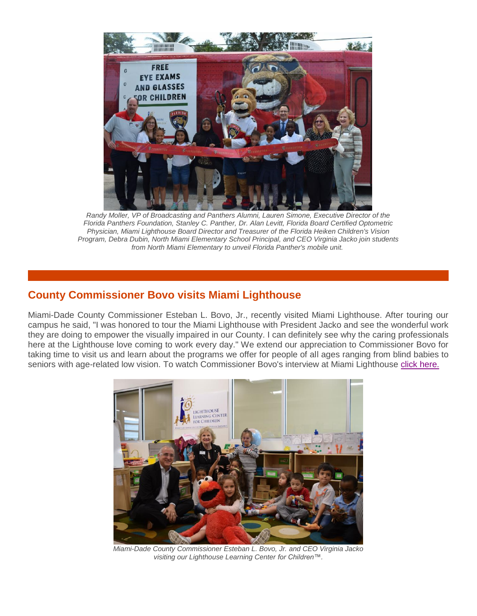

*Randy Moller, VP of Broadcasting and Panthers Alumni, Lauren Simone, Executive Director of the Florida Panthers Foundation, Stanley C. Panther, Dr. Alan Levitt, Florida Board Certified Optometric Physician, Miami Lighthouse Board Director and Treasurer of the Florida Heiken Children's Vision Program, Debra Dubin, North Miami Elementary School Principal, and CEO Virginia Jacko join students from North Miami Elementary to unveil Florida Panther's mobile unit.*

### **County Commissioner Bovo visits Miami Lighthouse**

Miami-Dade County Commissioner Esteban L. Bovo, Jr., recently visited Miami Lighthouse. After touring our campus he said, "I was honored to tour the Miami Lighthouse with President Jacko and see the wonderful work they are doing to empower the visually impaired in our County. I can definitely see why the caring professionals here at the Lighthouse love coming to work every day." We extend our appreciation to Commissioner Bovo for taking time to visit us and learn about the programs we offer for people of all ages ranging from blind babies to seniors with age-related low vision. To watch Commissioner Bovo's interview at Miami Lighthouse [click here.](http://r20.rs6.net/tn.jsp?f=0018qQdwhhMwbeUV902_ePRZLh8myJWOepk9mKVC6VeTZvCJACODZz20gdHMugGGlpYJbXuGtB1PMXeZm-sM59AaTnc833cKMnktkWkgmFlAEouo9U5PEa2EykKVZJf6OchyfpqRFtskxQ4qJJIk2UZO4T2TUe5Fz0Yfl6bhBV386D_GndlHhjb6bEEv_T0mDp0Vogk4s2Bax8=&c=jfVrERbDH3NH4Y2ntKSWpjcphz1CkhH-4YBc2-dPIF2iaYcvF_8R6Q==&ch=kI-BM1fd5dfvm351Uy9kOmu1Je21WPyJJGtKp6u5PFZ4s6W6CCbfIg==)



*Miami-Dade County Commissioner Esteban L. Bovo, Jr. and CEO Virginia Jacko visiting our Lighthouse Learning Center for Children™.*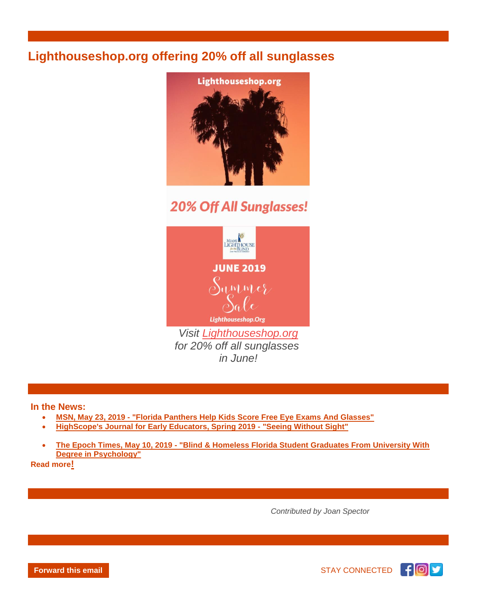## **Lighthouseshop.org offering 20% off all sunglasses**



# **20% Off All Sunglasses!**



*for 20% off all sunglasses in June!*

**In the News:**

- **MSN, May 23, 2019 - ["Florida Panthers Help Kids Score Free Eye Exams And Glasses"](http://r20.rs6.net/tn.jsp?f=0018qQdwhhMwbeUV902_ePRZLh8myJWOepk9mKVC6VeTZvCJACODZz20gdHMugGGlpY2zMvp0UuD05WeV0GFZVJ1tJAQGIuSEOkc-EhV7cvFJcbhG7FJ2OKFE4BRRV-8oEGORfAm2DhYBEVC5q8130Al2cahPJhibx14ybuaRdi2PiWTTRzN-cVd4mbYc7vEJVf5NEQyxxiBFPhPKGV8qIXLa8J4VXAIcGj6vWjhKs9MKHvgyJ1jq4VNE6HqlNvR2leBZp7YujlmBoiRCWOA_WOG3_QS42LxU8ZD5_BTI2LbjDLtuD47abtCENxzcGbT817unkDaFoTo6TqHJDjcw29_A==&c=jfVrERbDH3NH4Y2ntKSWpjcphz1CkhH-4YBc2-dPIF2iaYcvF_8R6Q==&ch=kI-BM1fd5dfvm351Uy9kOmu1Je21WPyJJGtKp6u5PFZ4s6W6CCbfIg==)**
- **[HighScope's Journal for Early Educators, Spring 2019 -](http://r20.rs6.net/tn.jsp?f=0018qQdwhhMwbeUV902_ePRZLh8myJWOepk9mKVC6VeTZvCJACODZz20gdHMugGGlpY9sPrIa_dcD0zPfcBui7p6Q_G82X1nznGHDfmgzRS3Ps4YlzLQKmn15o7XHZLJMrBdQ1tmrTclAUIOxGekPRFS8sXOxN8dI3ky-0DW9tmoznPj-LMWlv5lRQydZF2HaRCOZUambaON0-c7KnhdC1h67HU1uLDifZEZmlZfK5Dbfc3uD6VVazvm5yBBKFHjKdJ&c=jfVrERbDH3NH4Y2ntKSWpjcphz1CkhH-4YBc2-dPIF2iaYcvF_8R6Q==&ch=kI-BM1fd5dfvm351Uy9kOmu1Je21WPyJJGtKp6u5PFZ4s6W6CCbfIg==) "Seeing Without Sight"**
- **The Epoch Times, May 10, 2019 - ["Blind & Homeless Florida Student Graduates From University With](http://r20.rs6.net/tn.jsp?f=0018qQdwhhMwbeUV902_ePRZLh8myJWOepk9mKVC6VeTZvCJACODZz20gdHMugGGlpYWYzh5w85cOnAbe3sdy-C58wB56_N4uEwHUBXcqqxW38ztDPzwGL3O_25hOuNZK0rxHad1RAVS5qVYAV4rkzPjct6ITlqi61W8nAWH7KddUmHx4EejwIORWsYHvvObymIWfdi4W_C3T472B4EedPgK08IkVQcp4O9Ft4iv_AUWBl-vcuPDlRx7vmb5mwRZltQVyW2-KFJUfTRtYzIheq5FAaiE_s6Z86NQh5gUZYa52qhzAmDKEZHfg==&c=jfVrERbDH3NH4Y2ntKSWpjcphz1CkhH-4YBc2-dPIF2iaYcvF_8R6Q==&ch=kI-BM1fd5dfvm351Uy9kOmu1Je21WPyJJGtKp6u5PFZ4s6W6CCbfIg==)  [Degree in Psychology"](http://r20.rs6.net/tn.jsp?f=0018qQdwhhMwbeUV902_ePRZLh8myJWOepk9mKVC6VeTZvCJACODZz20gdHMugGGlpYWYzh5w85cOnAbe3sdy-C58wB56_N4uEwHUBXcqqxW38ztDPzwGL3O_25hOuNZK0rxHad1RAVS5qVYAV4rkzPjct6ITlqi61W8nAWH7KddUmHx4EejwIORWsYHvvObymIWfdi4W_C3T472B4EedPgK08IkVQcp4O9Ft4iv_AUWBl-vcuPDlRx7vmb5mwRZltQVyW2-KFJUfTRtYzIheq5FAaiE_s6Z86NQh5gUZYa52qhzAmDKEZHfg==&c=jfVrERbDH3NH4Y2ntKSWpjcphz1CkhH-4YBc2-dPIF2iaYcvF_8R6Q==&ch=kI-BM1fd5dfvm351Uy9kOmu1Je21WPyJJGtKp6u5PFZ4s6W6CCbfIg==)**

**[Read more](http://r20.rs6.net/tn.jsp?f=0018qQdwhhMwbeUV902_ePRZLh8myJWOepk9mKVC6VeTZvCJACODZz20id4zGQ48YbmVbrRPNGpR9CQGiCK1yy9O5XBbO7E5WYTBm4IQtH1pz6836eTj8eeSrFzHBxmAlVsRM5xcc1uJ8uYMe8HQ9XGrxq1CRhFbLO3jKkgI2j9cztuusTS6HlCbk7UeIYzKoxoFB0S5SvAe0k=&c=jfVrERbDH3NH4Y2ntKSWpjcphz1CkhH-4YBc2-dPIF2iaYcvF_8R6Q==&ch=kI-BM1fd5dfvm351Uy9kOmu1Je21WPyJJGtKp6u5PFZ4s6W6CCbfIg==)!**

 *Contributed by Joan Spector*



**[Forward this email](http://ui.constantcontact.com/sa/fwtf.jsp?m=1116455901023&ea=csisser%40miamilighthouse.org&a=1132716788491) STAY CONNECTED F O**